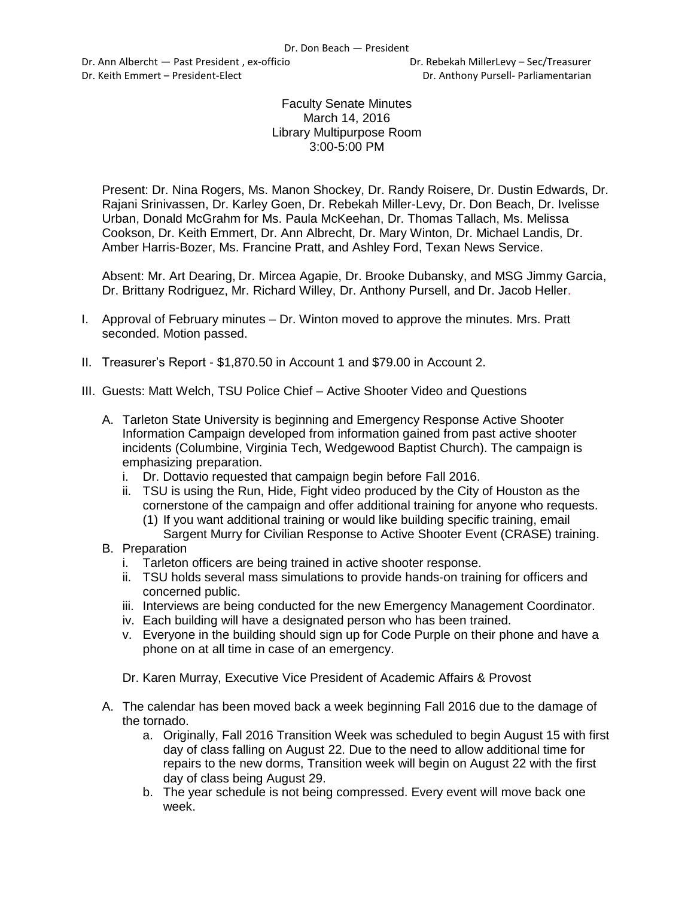Dr. Ann Albercht — Past President, ex-officio **Britannia and Contact Contact Contact** Dr. Rebekah MillerLevy – Sec/Treasurer Dr. Keith Emmert – President-Elect Dr. Anthony Pursell- Parliamentarian

## Faculty Senate Minutes March 14, 2016 Library Multipurpose Room 3:00-5:00 PM

Present: Dr. Nina Rogers, Ms. Manon Shockey, Dr. Randy Roisere, Dr. Dustin Edwards, Dr. Rajani Srinivassen, Dr. Karley Goen, Dr. Rebekah Miller-Levy, Dr. Don Beach, Dr. Ivelisse Urban, Donald McGrahm for Ms. Paula McKeehan, Dr. Thomas Tallach, Ms. Melissa Cookson, Dr. Keith Emmert, Dr. Ann Albrecht, Dr. Mary Winton, Dr. Michael Landis, Dr. Amber Harris-Bozer, Ms. Francine Pratt, and Ashley Ford, Texan News Service.

Absent: Mr. Art Dearing, Dr. Mircea Agapie, Dr. Brooke Dubansky, and MSG Jimmy Garcia, Dr. Brittany Rodriguez, Mr. Richard Willey, Dr. Anthony Pursell, and Dr. Jacob Heller.

- I. Approval of February minutes Dr. Winton moved to approve the minutes. Mrs. Pratt seconded. Motion passed.
- II. Treasurer's Report \$1,870.50 in Account 1 and \$79.00 in Account 2.
- III. Guests: Matt Welch, TSU Police Chief Active Shooter Video and Questions
	- A. Tarleton State University is beginning and Emergency Response Active Shooter Information Campaign developed from information gained from past active shooter incidents (Columbine, Virginia Tech, Wedgewood Baptist Church). The campaign is emphasizing preparation.
		- i. Dr. Dottavio requested that campaign begin before Fall 2016.
		- ii. TSU is using the Run, Hide, Fight video produced by the City of Houston as the cornerstone of the campaign and offer additional training for anyone who requests. (1) If you want additional training or would like building specific training, email
			- Sargent Murry for Civilian Response to Active Shooter Event (CRASE) training.
	- B. Preparation
		- i. Tarleton officers are being trained in active shooter response.
		- ii. TSU holds several mass simulations to provide hands-on training for officers and concerned public.
		- iii. Interviews are being conducted for the new Emergency Management Coordinator.
		- iv. Each building will have a designated person who has been trained.
		- v. Everyone in the building should sign up for Code Purple on their phone and have a phone on at all time in case of an emergency.

Dr. Karen Murray, Executive Vice President of Academic Affairs & Provost

- A. The calendar has been moved back a week beginning Fall 2016 due to the damage of the tornado.
	- a. Originally, Fall 2016 Transition Week was scheduled to begin August 15 with first day of class falling on August 22. Due to the need to allow additional time for repairs to the new dorms, Transition week will begin on August 22 with the first day of class being August 29.
	- b. The year schedule is not being compressed. Every event will move back one week.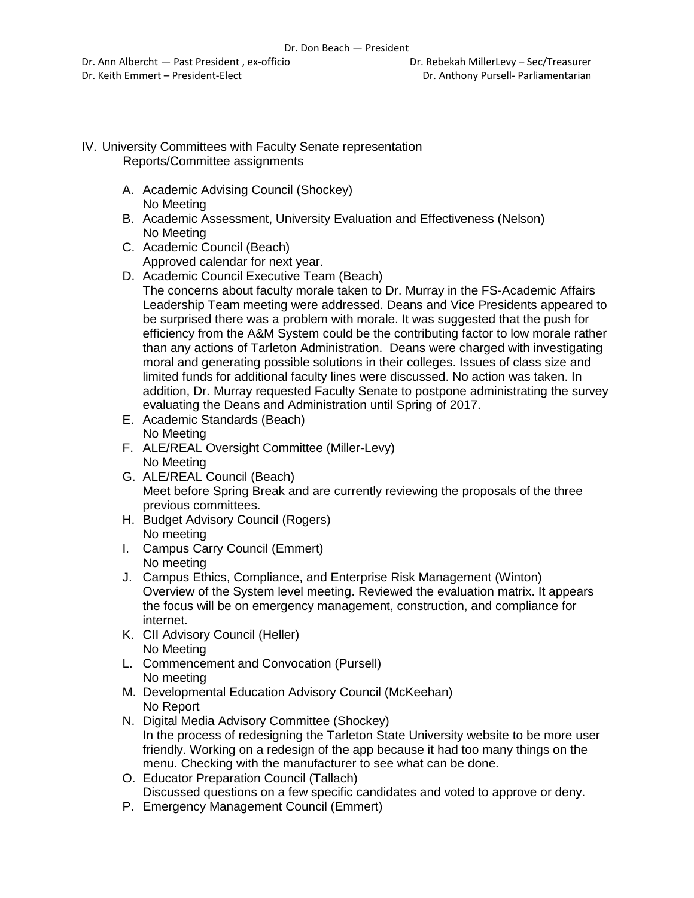- IV. University Committees with Faculty Senate representation Reports/Committee assignments
	- A. Academic Advising Council (Shockey) No Meeting
	- B. Academic Assessment, University Evaluation and Effectiveness (Nelson) No Meeting
	- C. Academic Council (Beach) Approved calendar for next year.
	- D. Academic Council Executive Team (Beach) The concerns about faculty morale taken to Dr. Murray in the FS-Academic Affairs Leadership Team meeting were addressed. Deans and Vice Presidents appeared to be surprised there was a problem with morale. It was suggested that the push for efficiency from the A&M System could be the contributing factor to low morale rather than any actions of Tarleton Administration. Deans were charged with investigating moral and generating possible solutions in their colleges. Issues of class size and limited funds for additional faculty lines were discussed. No action was taken. In addition, Dr. Murray requested Faculty Senate to postpone administrating the survey evaluating the Deans and Administration until Spring of 2017.
	- E. Academic Standards (Beach) No Meeting
	- F. ALE/REAL Oversight Committee (Miller-Levy) No Meeting
	- G. ALE/REAL Council (Beach) Meet before Spring Break and are currently reviewing the proposals of the three previous committees.
	- H. Budget Advisory Council (Rogers) No meeting
	- I. Campus Carry Council (Emmert) No meeting
	- J. Campus Ethics, Compliance, and Enterprise Risk Management (Winton) Overview of the System level meeting. Reviewed the evaluation matrix. It appears the focus will be on emergency management, construction, and compliance for internet.
	- K. CII Advisory Council (Heller)
	- No Meeting
	- L. Commencement and Convocation (Pursell) No meeting
	- M. Developmental Education Advisory Council (McKeehan) No Report
	- N. Digital Media Advisory Committee (Shockey) In the process of redesigning the Tarleton State University website to be more user friendly. Working on a redesign of the app because it had too many things on the menu. Checking with the manufacturer to see what can be done.
	- O. Educator Preparation Council (Tallach) Discussed questions on a few specific candidates and voted to approve or deny.
	- P. Emergency Management Council (Emmert)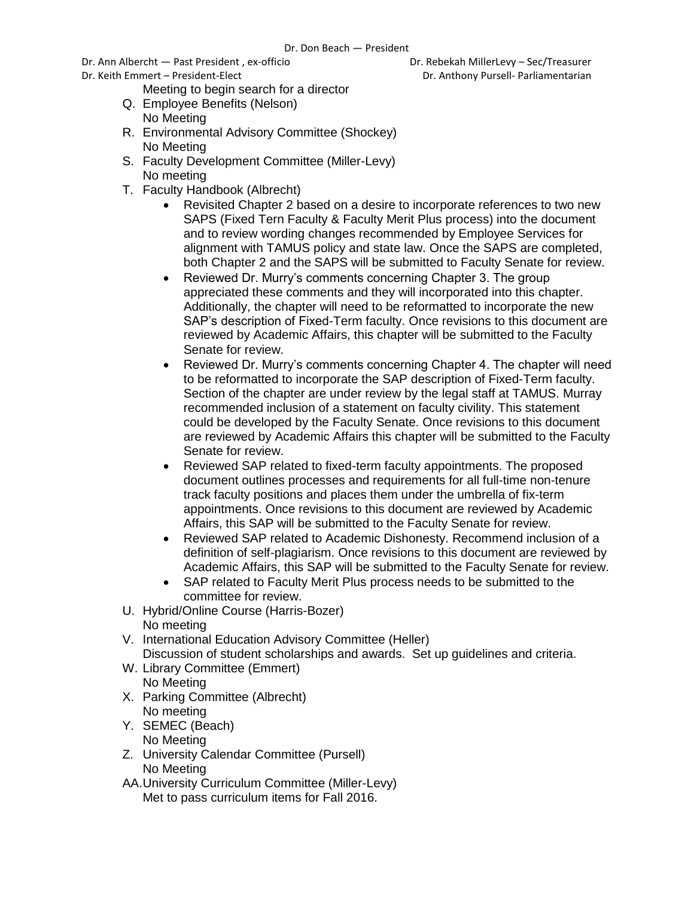Dr. Ann Albercht — Past President, ex-officio **Britannia and Contact Contact Contact** Dr. Rebekah MillerLevy – Sec/Treasurer

- Meeting to begin search for a director
- Q. Employee Benefits (Nelson) No Meeting
- R. Environmental Advisory Committee (Shockey) No Meeting
- S. Faculty Development Committee (Miller-Levy) No meeting
- T. Faculty Handbook (Albrecht)
	- Revisited Chapter 2 based on a desire to incorporate references to two new SAPS (Fixed Tern Faculty & Faculty Merit Plus process) into the document and to review wording changes recommended by Employee Services for alignment with TAMUS policy and state law. Once the SAPS are completed, both Chapter 2 and the SAPS will be submitted to Faculty Senate for review.
	- Reviewed Dr. Murry's comments concerning Chapter 3. The group appreciated these comments and they will incorporated into this chapter. Additionally, the chapter will need to be reformatted to incorporate the new SAP's description of Fixed-Term faculty. Once revisions to this document are reviewed by Academic Affairs, this chapter will be submitted to the Faculty Senate for review.
	- Reviewed Dr. Murry's comments concerning Chapter 4. The chapter will need to be reformatted to incorporate the SAP description of Fixed-Term faculty. Section of the chapter are under review by the legal staff at TAMUS. Murray recommended inclusion of a statement on faculty civility. This statement could be developed by the Faculty Senate. Once revisions to this document are reviewed by Academic Affairs this chapter will be submitted to the Faculty Senate for review.
	- Reviewed SAP related to fixed-term faculty appointments. The proposed document outlines processes and requirements for all full-time non-tenure track faculty positions and places them under the umbrella of fix-term appointments. Once revisions to this document are reviewed by Academic Affairs, this SAP will be submitted to the Faculty Senate for review.
	- Reviewed SAP related to Academic Dishonesty. Recommend inclusion of a definition of self-plagiarism. Once revisions to this document are reviewed by Academic Affairs, this SAP will be submitted to the Faculty Senate for review.
	- SAP related to Faculty Merit Plus process needs to be submitted to the committee for review.
- U. Hybrid/Online Course (Harris-Bozer) No meeting
- V. International Education Advisory Committee (Heller) Discussion of student scholarships and awards. Set up guidelines and criteria.
- W. Library Committee (Emmert) No Meeting
- X. Parking Committee (Albrecht) No meeting
- Y. SEMEC (Beach) No Meeting
- Z. University Calendar Committee (Pursell) No Meeting
- AA.University Curriculum Committee (Miller-Levy) Met to pass curriculum items for Fall 2016.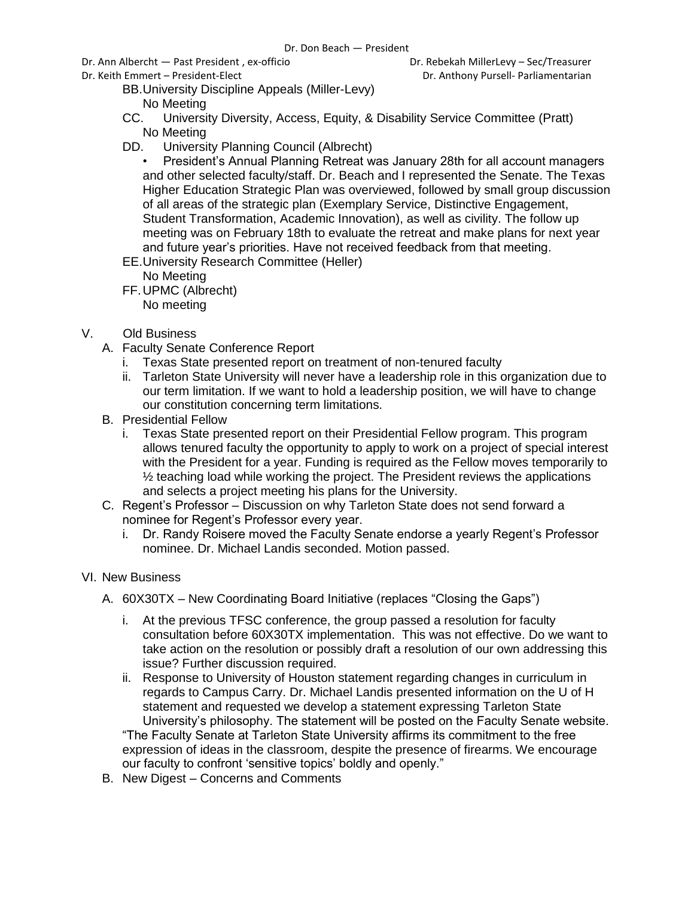Dr. Ann Albercht — Past President, ex-officio **Britannia and Contact Contact Contact** Dr. Rebekah MillerLevy – Sec/Treasurer

- BB.University Discipline Appeals (Miller-Levy) No Meeting
- CC. University Diversity, Access, Equity, & Disability Service Committee (Pratt) No Meeting
- DD. University Planning Council (Albrecht)
	- President's Annual Planning Retreat was January 28th for all account managers and other selected faculty/staff. Dr. Beach and I represented the Senate. The Texas Higher Education Strategic Plan was overviewed, followed by small group discussion of all areas of the strategic plan (Exemplary Service, Distinctive Engagement, Student Transformation, Academic Innovation), as well as civility. The follow up meeting was on February 18th to evaluate the retreat and make plans for next year and future year's priorities. Have not received feedback from that meeting.
- EE.University Research Committee (Heller)
- No Meeting
- FF.UPMC (Albrecht) No meeting
- V. Old Business
	- A. Faculty Senate Conference Report
		- i. Texas State presented report on treatment of non-tenured faculty
		- ii. Tarleton State University will never have a leadership role in this organization due to our term limitation. If we want to hold a leadership position, we will have to change our constitution concerning term limitations.
	- B. Presidential Fellow
		- i. Texas State presented report on their Presidential Fellow program. This program allows tenured faculty the opportunity to apply to work on a project of special interest with the President for a year. Funding is required as the Fellow moves temporarily to  $\frac{1}{2}$  teaching load while working the project. The President reviews the applications and selects a project meeting his plans for the University.
	- C. Regent's Professor Discussion on why Tarleton State does not send forward a nominee for Regent's Professor every year.
		- i. Dr. Randy Roisere moved the Faculty Senate endorse a yearly Regent's Professor nominee. Dr. Michael Landis seconded. Motion passed.

## VI. New Business

- A. 60X30TX New Coordinating Board Initiative (replaces "Closing the Gaps")
	- i. At the previous TFSC conference, the group passed a resolution for faculty consultation before 60X30TX implementation. This was not effective. Do we want to take action on the resolution or possibly draft a resolution of our own addressing this issue? Further discussion required.
	- ii. Response to University of Houston statement regarding changes in curriculum in regards to Campus Carry. Dr. Michael Landis presented information on the U of H statement and requested we develop a statement expressing Tarleton State University's philosophy. The statement will be posted on the Faculty Senate website.

"The Faculty Senate at Tarleton State University affirms its commitment to the free expression of ideas in the classroom, despite the presence of firearms. We encourage our faculty to confront 'sensitive topics' boldly and openly."

B. New Digest – Concerns and Comments